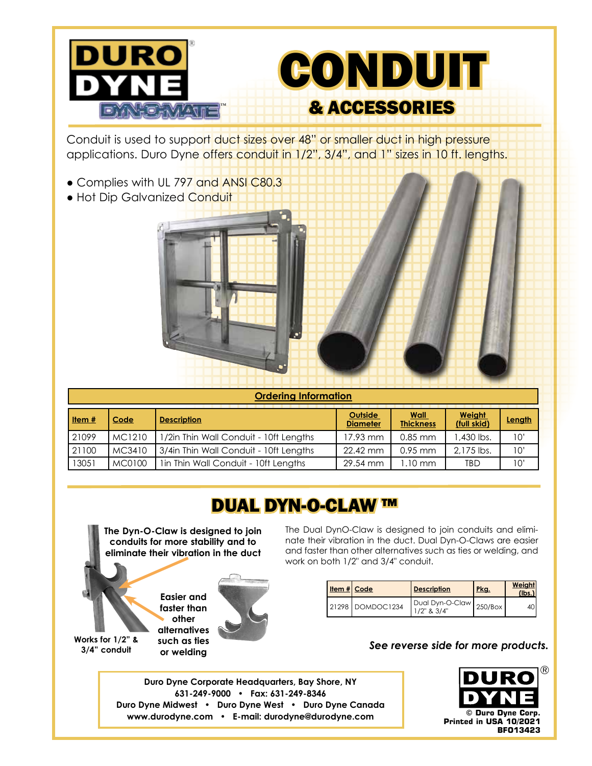

Conduit is used to support duct sizes over 48" or smaller duct in high pressure applications. Duro Dyne offers conduit in 1/2", 3/4", and 1" sizes in 10 ft. lengths.

- Complies with UL 797 and ANSI C80.3
- Hot Dip Galvanized Conduit



| <b>Ordering Information</b> |        |                                        |                            |                                 |                       |        |  |
|-----------------------------|--------|----------------------------------------|----------------------------|---------------------------------|-----------------------|--------|--|
| Item $#$                    | Code   | <b>Description</b>                     | Outside<br><b>Diameter</b> | <b>Wall</b><br><b>Thickness</b> | Weight<br>(full skid) | Length |  |
| 21099                       | MC1210 | 1/2in Thin Wall Conduit - 10ft Lengths | 17.93 mm                   | $0.85$ mm                       | .430 lbs.             | 10'    |  |
| 21100                       | MC3410 | 3/4in Thin Wall Conduit - 10ft Lengths | 22.42 mm                   | $0.95$ mm                       | 2.175 lbs.            | 10'    |  |
| 13051                       | MC0100 | 1in Thin Wall Conduit - 10ft Lengths   | 29.54 mm                   | l.10 mm                         | <b>TBD</b>            | 10'    |  |

### DUAL DYN-O-CLAW ™

**The Dyn-O-Claw is designed to join conduits for more stability and to eliminate their vibration in the duct**

> **Easier and faster than other alternatives such as ties or welding**

**Works for 1/2" & 3/4" conduit**

The Dual DynO-Claw is designed to join conduits and eliminate their vibration in the duct. Dual Dyn-O-Claws are easier and faster than other alternatives such as ties or welding, and work on both 1/2" and 3/4" conduit.

| Item $#$ Code |                    | <b>Description</b>        | Pkg. | Weight<br>(lbs. |
|---------------|--------------------|---------------------------|------|-----------------|
|               | 21298   DOMDOC1234 | Dual Dyn-O-Claw   250/Box |      | 4()''           |

#### *See reverse side for more products.*

**Duro Dyne Corporate Headquarters, Bay Shore, NY 631-249-9000 • Fax: 631-249-8346 Duro Dyne Midwest • Duro Dyne West • Duro Dyne Canada www.durodyne.com • E-mail: durodyne@durodyne.com**